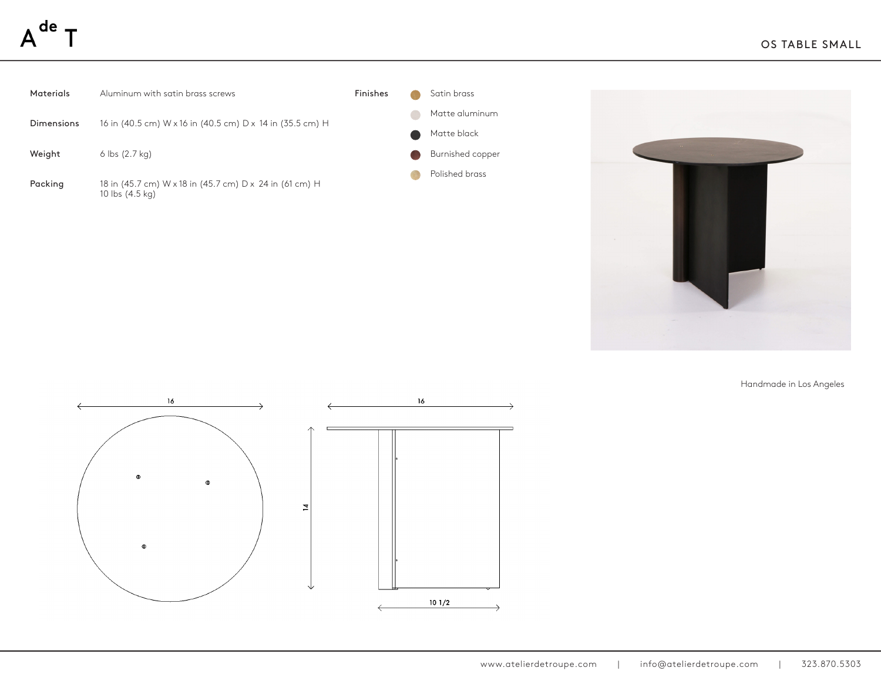

Handmade in Los Angeles

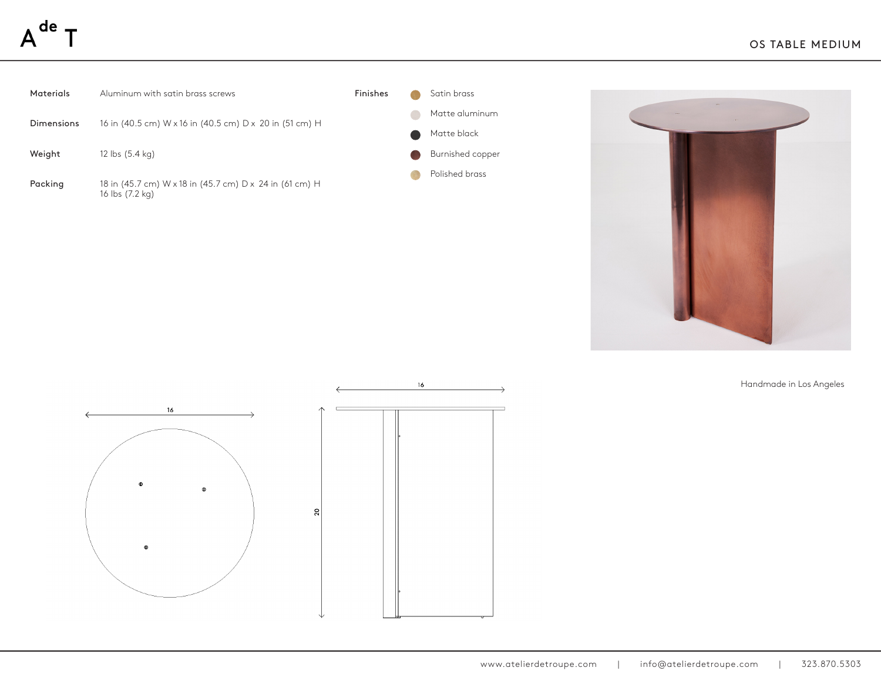## de





Handmade in Los Angeles



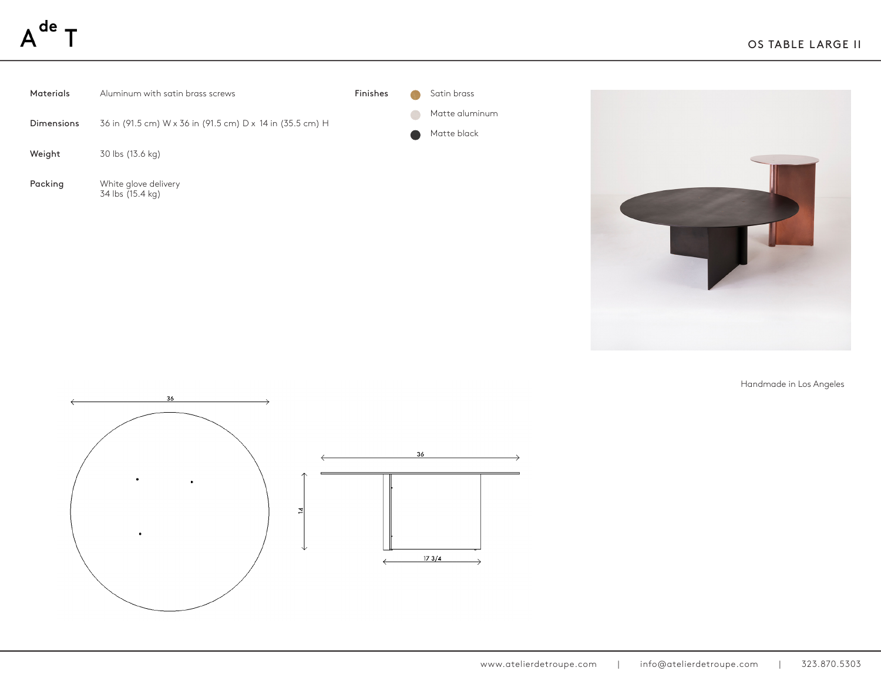| Materials  | Aluminum with satin brass screws                          | Finishes |                        | Satin brass                   |  |
|------------|-----------------------------------------------------------|----------|------------------------|-------------------------------|--|
| Dimensions | 36 in (91.5 cm) W x 36 in (91.5 cm) D x 14 in (35.5 cm) H |          | $\bullet$<br>$\bullet$ | Matte aluminum<br>Matte black |  |
| Weight     | 30 lbs (13.6 kg)                                          |          |                        |                               |  |
| Packing    | White glove delivery<br>34 lbs (15.4 kg)                  |          |                        |                               |  |